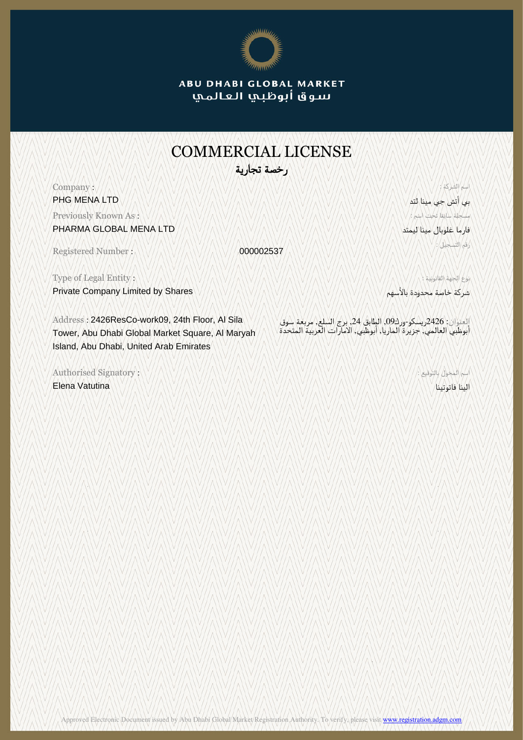

**ABU DHABI GLOBAL MARKET** سوق أبوظبي العالمي

## COMMERCIAL LICENSE رخصة تجارية

Company : PHG MENA LTD

Previously Known As : PHARMA GLOBAL MENA LTD

Registered Number : 000002537

Type of Legal Entity : Private Company Limited by Shares

Address : 2426ResCo-work09, 24th Floor, Al Sila Tower, Abu Dhabi Global Market Square, Al Maryah Island, Abu Dhabi, United Arab Emirates

Authorised Signatory : Elena Vatutina

بي أتش جي مينا لتد مسجلة سابقا تحت اسم : فارما غلوبال مينا ليمتد رقم التسجيل :

اسم الشركة :

نوع الجهة القانونية : شركة خاصة محدودة بالأسهم

العنوان: 2426ريسكو-ورك,09 الطابق ,24 برج السلع, مربعة سوق أبوظبي العالمي, جزيرة الماريا, أبوظبي, الامارات العربية المتحدة

اسم المخول بالتوقيع :

الينا فاتوتينا